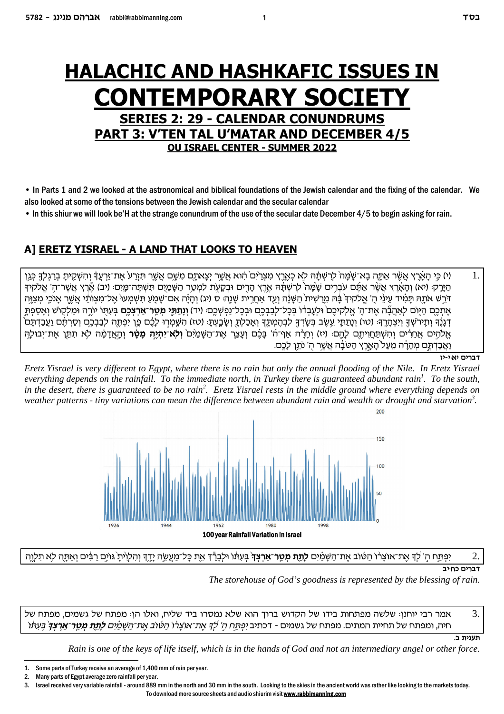# **HALACHIC AND HASHKAFIC ISSUES IN CONTEMPORARY SOCI SERIES 2: 29 - CALENDAR CONUNDRUMS PART 3: V'TEN TAL U'MATAR AND DECEMBER 4/5 OU ISRAEL CENTER - SUMMER 2022**

• In Parts 1 and 2 we looked at the astronomical and biblical foundations of the Jewish calendar and the fixing of the calendar. We also looked at some of the tensions between the Jewish calendar and the secular calendar

• In this shiur we will look be'H at the strange conundrum of the use of the secular date December 4/5 to begin asking for rain.

## A] ERETZ YISRAEL - A LAND THAT LOOKS TO HEAVEN

 $\mathbf{1}$ ו/) כִּי הַאֲרֵץ אֲשֶׁר אֲתָּה בָא־שֶׁמֲה לְרָשְׁתֵּה לָא כְאֶרֶץ מִצְרָיִם הוֹא אֲשֶׁר יִצְאתָם מִשֶּׁם אֲשֶׁר תִּזְרַע אֶת־זַרְעֲד וְהִשְׁקֵית בְרַגְלֹךָ כְּגֵן הירק: (יא) והארץ אשר אתם עברים שמה לרשתה ארץ הרים ובקעת למטר השמים תשתה־מים: (יב) ארץ אשר־ה' אלקיד דֹרֵשׁ אֹתָה תַּמִ֫יד עֵינֵי הַ' אֱלֹקיךְ בֶּה מֱרֵשִׁית הַשָּׁנָּה וְעַד אַחֲרֵית שַׁנֵהּ ּ ס (יג) וְהַיַּה אִם־שַׁמַעַ תִּשְׁמְעוּ אֱל־מִצְוֹתַי אֲשֶׁר אַנֹכֵי מִצְוֶה אֶתְכֶם הַיּוֹם לְאַהֲבֶּה אֶת־הַ' אֱלֹקִיכֶם וּלִעֲבִדוֹ בִּכַל־לִבְבָכֶם וּבִכָל־נַפְשָׁכֶם: (יד) **וְוַתְתֵּי מְטֵר־אַרִצְכֶם** בִּעְתִּוֹ יוֹרֶה וּמַלִקוֹשׁ וְאֵסֻפְתַּ ֹדְגָנֶ֫ךְ וְתִירֹשִׁךְ וִיִצְהָרֵךְ: (טו) וְנָתַתְּי עֵשֶׂב בִּשָׂדְךָ לִבְהֵמְתֵּךְ וְאָכַלְתָ וְשָׂבָעִתָּ: (טו) הִשֶּׁמְרִוּ לָבֶ֫ם פֵּן יִפְתֵּה לִבַּבְבֵם וְסַרְתֵּם וַעֲבַדְתֵּם אֱלֹהֵים אֱחֵרִים וִהִשְׁתַּחֵוִיתֵם לָהֵם: (יז) וְחָרָה אַף־ה' בָּבֶם וְעָצֵר אֵת־הַשָּׁמַיִם **וְלָא־יִהְיֶה מָטָר** וְהָאֲדָמָה לָא תִתֵּן אֶת־יִבוּלָה וַאֲבַדְתֶּם מְהֵרָה מֵעַל הָאֱרֶץ הַטֹּבָּה אֲשֶר הָ' נֹתֵן לָכֶם.

דברים יאוי-יו

Eretz Yisrael is very different to Egypt, where there is no rain but only the annual flooding of the Nile. In Eretz Yisrael everything depends on the rainfall. To the immediate north, in Turkey there is guaranteed abundant rain<sup>1</sup>. To the south, in the desert, there is guaranteed to be no rain<sup>2</sup>. Eretz Yisrael rests in the middle ground where everything depends on weather patterns - tiny variations can mean the difference between abundant rain and wealth or drought and starvation<sup>3</sup>.



#### יִפְתַּח הִ' לִדְ אֶת־אוֹצַרו הַטּוֹב אֶת־הַשַּׁמַיִם **לַתֵּת מִטֵר־אַרִצְד**ְ בִּעְתֹּו וּלִבְרֶّדְ אֶת כַּל־מַעֲשֶׂה יַדֵּדְ וְהִלְוִיּתַ גּוֹיֶם רַבְּים וְאַתַּה לֹא תִלְוֵה 2 דברים כחייב

The storehouse of God's goodness is represented by the blessing of rain.

אמר רבי יוחנן: שלשה מפתחות בידו של הקדוש ברוך הוא שלא נמסרו ביד שליח, ואלו הן: מפתח של גשמים, מפתח של 3. חיה, ומפתח של תחיית המתים. מפתח של גשמים - דכתיב יפתח ה*' לך את־אוצרו הטוב את־השמים לתת מטר־ארצד בעתו* 

תענית ב.

Rain is one of the keys of life itself, which is in the hands of God and not an intermediary angel or other force.

Israel received very variable rainfall - around 889 mm in the north and 30 mm in the south. Looking to the skies in the ancient world was rather like looking to the markets today.  $\mathbf{R}$ To download more source sheets and audio shiurim visit www.rabbimanning.com

 $\mathbf{1}$ 

 $\mathbf{1}$ Some parts of Turkey receive an average of 1,400 mm of rain per year.

 $\mathcal{P}$ Many parts of Egypt average zero rainfall per year.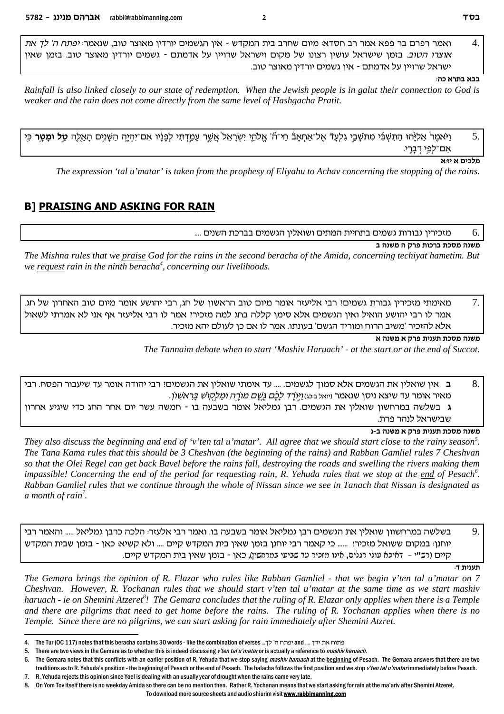ואמר רפרם בר פפא אמר רב חסדא: מיום שחרב בית המקדש - אין הגשמים יורדין מאוצר טוב, שנאמר: *יפתח ה' לך את*  $\overline{4}$ אוצרו הטוב. בזמן שישראל עושין רצונו של מקום וישראל שרויין על אדמתם - גשמים יורדין מאוצר טוב. בזמן שאין ישראל שרויין על אדמתם - אין גשמים יורדין מאוצר טוב.

#### בבא בתרא כה:

Rainfall is also linked closely to our state of redemption. When the Jewish people is in galut their connection to God is weaker and the rain does not come directly from the same level of Hashgacha Pratit.

וַיֹּאמֶר אֱלִיּהוּ הַתִּשְׁבִי מִתֹּשָׁבֵי גְלַעַדֿ אֱל־אַחֲאֲבֿ חַי־ה' אֱלֹהֵי יִשְׂרָאֲל אֲשֶׁר עָמַדְתִּי לְפַנֵּיו אָם־יִהְיֶה הַשָּׁנַיִם הַאֲלֶה **טַל וּמַטַר** כִּי 5. אם־לפי דברי.

#### מלכים א יז:א

The expression 'tal u'matar' is taken from the prophesy of Eliyahu to Achav concerning the stopping of the rains.

#### **B1 PRAISING AND ASKING FOR RAIN**

#### מזכירין גבורות גשמים בתחיית המתים ושואלין הגשמים בברכת השנים .... 6.

#### משנה מסכת ברכות פרק ה משנה ב

The Mishna rules that we praise God for the rains in the second beracha of the Amida, concerning techivat hametim. But we request rain in the ninth beracha<sup>4</sup>, concerning our livelihoods.

7. מאימתי מזכירין גבורת גשמים! רבי אליעזר אומר מיום טוב הראשון של חג, רבי יהושע אומר מיום טוב האחרון של חג. אמר לו רבי יהושע הואיל ואין הגשמים אלא סימן קללה בחג למה מזכיר: אמר לו רבי אליעזר אף אני לא אמרתי לשאול אלא להזכיר 'משיב הרוח ומוריד הגשם' בעונתו. אמר לו אם כן לעולם יהא מזכיר.

#### משנה מסכת תענית פרק א משנה א

The Tannaim debate when to start 'Mashiv Haruach' - at the start or at the end of Succot.

ב אין שואלין את הגשמים אלא סמוך לגשמים. .... עד אימתי שואלין את הגשמים? רבי יהודה אומר עד שיעבור הפסח. רבי 8. . מאיר אומר עד שיצא ניסן שנאמר ויואל בּכּג) *וַיּוֹרֶד לַבֶּם גֱשֶׁם מוֹרֱה וּמַלִּקְוֹשׁ בַּרְאשׁוֹן* 

ג בשלשה במרחשון שואלין את הגשמים. רבן גמליאל אומר בשבעה בו - חמשה עשר יום אחר החג כדי שיגיע אחרון שבישראל לנהר פרת.

#### משנה מסכת תענית פרק א משנה ב-ג

They also discuss the beginning and end of 'v'ten tal u'matar'. All agree that we should start close to the rainy season<sup>5</sup>. The Tana Kama rules that this should be 3 Cheshvan (the beginning of the rains) and Rabban Gamliel rules 7 Cheshvan so that the Olei Regel can get back Bavel before the rains fall, destroying the roads and swelling the rivers making them impassible! Concerning the end of the period for requesting rain, R. Yehuda rules that we stop at the end of Pesach<sup>6</sup>. Rabban Gamliel rules that we continue through the whole of Nissan since we see in Tanach that Nissan is designated as a month of rain<sup>7</sup>.

בשלשה במרחשוון שואלין את הגשמים רבן גמליאל אומר בשבעה בו. ואמר רבי אלעזר: הלכה כרבן גמליאל ..... והאמר רבי 9. יוחנן: במקום ששואל מזכיר! ...... כי קאמר רבי יוחנן בזמן שאין בית המקדש קיים .... ולא קשיא: כאן - בזמן שבית המקדש קיים (רש"י - "דאיכא עולי רגלים, אינו מזכיר עד שביעי במרחשון), כאן - בזמן שאין בית המקדש קיים.

תענית ד:

The Gemara brings the opinion of R. Elazar who rules like Rabban Gamliel - that we begin v'ten tal u'matar on 7 Cheshvan. However, R. Yochanan rules that we should start v'ten tal u'matar at the same time as we start mashiv haruach - ie on Shemini Atzeret<sup>8</sup>! The Gemara concludes that the ruling of R. Elazar only applies when there is a Temple and there are pilgrims that need to get home before the rains. The ruling of R. Yochanan applies when there is no Temple. Since there are no pilgrims, we can start asking for rain immediately after Shemini Atzret.

- $7^{\circ}$ R. Yehuda rejects this opinion since Yoel is dealing with an usually year of drought when the rains came very late. 8.
	- On Yom Toy itself there is no weekday Amida so there can be no mention then. Rather R, Yochanan means that we start asking for rain at the ma'ariv after Shemini Atzeret.

To download more source sheets and audio shiurim visit www.rabbimanning.com

פתוח את ידך... and יפתח ה' לך... The Tur (OC 117) notes that this beracha contains 30 words - like the combination of verses יפתח ה' לך...

<sup>5.</sup> There are two views in the Gemara as to whether this is indeed discussing v'ten tal u'mataror is actually a reference to mashiv haruach.

<sup>6.</sup> The Gemara notes that this conflicts with an earlier position of R. Yehuda that we stop saying mashiv haruach at the beginning of Pesach. The Gemara answers that there are two traditions as to R. Yehuda's position - the beginning of Pesach or the end of Pesach. The halacha follows the first position and we stop v'ten tal u'matarimmediately before Pesach.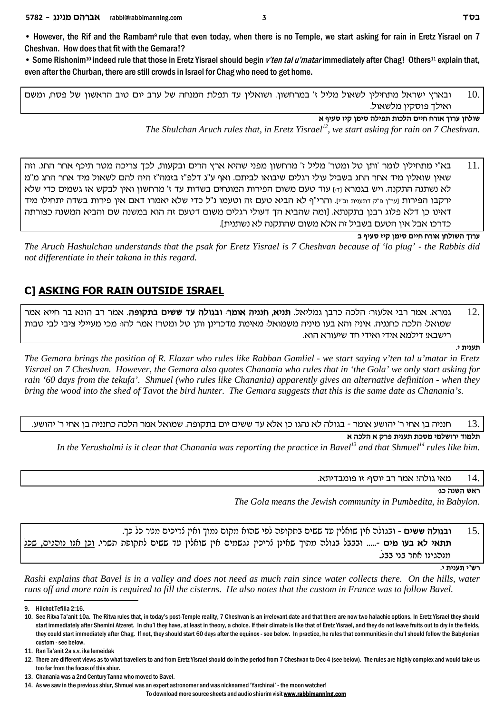• However, the Rif and the Rambam<sup>9</sup> rule that even today, when there is no Temple, we start asking for rain in Eretz Yisrael on 7 Cheshvan. How does that fit with the Gemara!?

• Some Rishonim<sup>10</sup> indeed rule that those in Eretz Yisrael should begin *v'ten tal u'matar* immediately after Chag! Others<sup>11</sup> explain that, even after the Churban, there are still crowds in Israel for Chag who need to get home.

ובארץ ישראל מתחילין לשאול מליל ז' במרחשון. ושואלין עד תפלת המנחה של ערב יום טוב הראשון של פסח, ומשם . ואילך פוסקין מלשאול.

**` sirq fiw oniq dlitz zekld miig gxe` jexr ogley**

*The Shulchan Aruch rules that, in Eretz Yisrael<sup>12</sup>, we start asking for rain on 7 Cheshvan.*

ם .  $11$   $\,$  בא"י מתחילין לומר 'ותן טל ומטר' מליל ז' מרחשון מפני שהיא ארץ הרים ובקעות, לכך צריכה מטר תיכף אחר החג. וזה שאין שואלין מיד אחר החג בשביל עולי רגלים שיבואו לביתם. ואף ע"ג דלפ"ז בזמה"ז היה להם לשאול מיד אחר החג מ"מ לא נשתנה התקנה. ויש בגמרא והו עוד טעם משום הפירות המונחים בשדות עד ז' מרחשון ואין לבקש אז גשמים כדי שלא ירקבו הפירות [ער"ן פ"ק דתענית וב"י]. והרי"ף לא הביא טעם זה וטעמו נ"ל כדי שלא יאמרו דאם אין פירות בשדה יתחילו מיד דאינו כן דלא פלוג רבנן בתקנתא. [ומה שהביא הך דעולי רגלים משום דטעם זה הוא במשנה שם והביא המשנה כצורתה . כדרכו אבל איו הטעם בשביל זה אלא משום שהתקנה לא נשתנית]

**a sirq fiw oniq miig gxe` ogleyd jexr**

*The Aruch Hashulchan understands that the psak for Eretz Yisrael is 7 Cheshvan because of 'lo plug' - the Rabbis did not differentiate in their takana in this regard.* 

### **C] ASKING FOR RAIN OUTSIDE ISRAEL**

.12 גמרא. אמר רבי אלעזר<sub>'</sub> הלכה כרבן גמליאל. **תניא, חנניה אומר<sub>'</sub> ובגולה עד ששים בתקופה**. אמר רב הונא בר חייא אמר שמואל: הלכה כחנניה. איניז והא בעו מיניה משמואל: מאימת מדכרינו ותו טל ומטרז אמר להו: מכי מעיילי ציבי לבי טבות .רישבא! דילמא אידי ואידי חד שיעורא הוא

**.i ziprz**

*The Gemara brings the position of R. Elazar who rules like Rabban Gamliel - we start saying v'ten tal u'matar in Eretz Yisrael on 7 Cheshvan. However, the Gemara also quotes Chanania who rules that in 'the Gola' we only start asking for rain '60 days from the tekufa'. Shmuel (who rules like Chanania) apparently gives an alternative definition - when they bring the wood into the shed of Tavot the bird hunter. The Gemara suggests that this is the same date as Chanania's.*

.<sup>13</sup> חנניה בן אחי ר' יהושע אומר - בגולה לא נהגו כן אלא עד ששים יום בתקופה. שמואל אמר הלכה כחנניה בן אחי ר' יהושע

**תלמוד ירושלמי מסכת תענית פרק א הלכה א** 

*In the Yerushalmi is it clear that Chanania was reporting the practice in Bavel<sup>13</sup> and that Shmuel<sup>14</sup> rules like him.*

מאי גולהי אמר רב יוסף: זו פומבדיתא.  $14$ 

**:bk dpyd y`x**

*The Gola means the Jewish community in Pumbedita, in Babylon.*

.15 **. ובגולה ששים -** ובגולה אין שואלין עד ששים בתקופה לפי שהוא מקום נמוך ואין לריכים מטר כל כך. lky ,mibdep ep` oke .ixyz ztewzl miyy cr oil`ey oi` minybl oikixv opi`y jezn dleba laaae **.....- min era `l i`zz** מנהגינו אחר בני בבל.

**.i ziprz i"yx**

*Rashi explains that Bavel is in a valley and does not need as much rain since water collects there. On the hills, water runs off and more rain is required to fill the cisterns. He also notes that the custom in France was to follow Bavel.* 

To download more source sheets and audio shiurim visit **www.rabbimanning.com**

<sup>9.</sup> Hilchot Tefilla 2:16.

<sup>10.</sup> See Ritva Ta'anit 10a. The Ritva rules that, in today's post-Temple reality, 7 Cheshvan is an irrelevant date and that there are now two halachic options. In Eretz Yisrael they should start immediately after Shemini Atzeret. In chu'l they have, at least in theory, a choice. If their climate is like that of Eretz Yisrael, and they do not leave fruits out to dry in the fields, they could start immediately after Chag. If not, they should start 60 days after the equinox - see below. In practice, he rules that communities in chu'l should follow the Babylonian custom - see below.

<sup>11.</sup> Ran Ta'anit 2a s.v. ika lemeidak

<sup>12.</sup> There are different views as to what travellers to and from Eretz Yisrael should do in the period from 7 Cheshvan to Dec 4 (see below). The rules are highly complex and would take us too far from the focus of this shiur.

<sup>13.</sup> Chanania was a 2nd Century Tanna who moved to Bavel.

<sup>14.</sup> As we saw in the previous shiur, Shmuel was an expert astronomer and was nicknamed 'Yarchinai' - the moon watcher!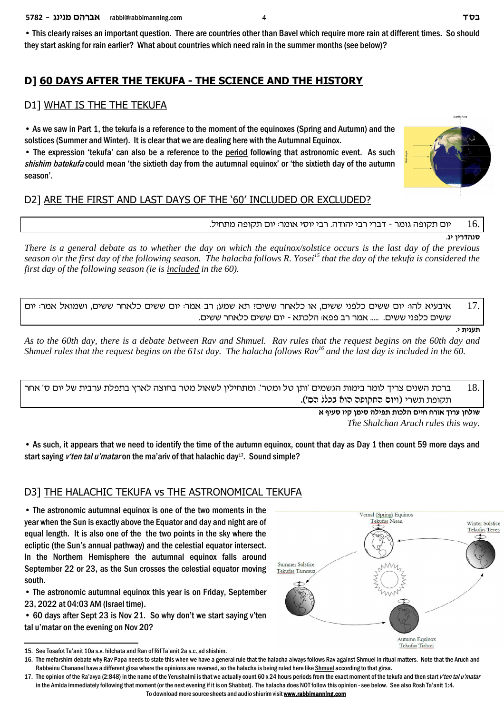• This clearly raises an important question. There are countries other than Bavel which require more rain at different times. So should they start asking for rain earlier? What about countries which need rain in the summer months (see below)?

### **D] 60 DAYS AFTER THE TEKUFA - THE SCIENCE AND THE HISTORY**

#### D1] WHAT IS THE THE TEKUFA

• As we saw in Part 1, the tekufa is a reference to the moment of the equinoxes (Spring and Autumn) and the solstices (Summer and Winter). It is clear that we are dealing here with the Autumnal Equinox.

• The expression 'tekufa' can also be a reference to the period following that astronomic event. As such *shishim batekufa* could mean 'the sixtieth day from the autumnal equinox' or 'the sixtieth day of the autumn season'.

### D2] ARE THE FIRST AND LAST DAYS OF THE '60' INCLUDED OR EXCLUDED?

#### יום תקופה גומר - דברי רבי יהודה. רבי יוסי אומר: יום תקופה מתחיל.  $16\,$

**.bi** סנהדריו

*There is a general debate as to whether the day on which the equinox/solstice occurs is the last day of the previous season o\r the first day of the following season. The halacha follows R. Yosei<sup>15</sup> that the day of the tekufa is considered the first day of the following season (ie is included in the 60).*

איבעיא להוּ יום ששים כלפני ששים. או כלאחר ששים: תא שמע; רב אמר יום ששים כלאחר ששים, ושמואל אמר ֿיום  $17.$ ששים כלפני ששים. ..... אמר רב פפא: הלכתא - יום ששים כלאחר ששים.

**.i ziprz**

*As to the 60th day, there is a debate between Rav and Shmuel. Rav rules that the request begins on the 60th day and Shmuel rules that the request begins on the 61st day. The halacha follows Rav<sup>16</sup> and the last day is included in the 60.* 

ברכת השנים צריך לומר בימות הגשמים 'ותן טל ומטר'. ומתחילין לשאול מטר בחוצה לארץ בתפלת ערבית של יום ס' אחר  $18. \,$ תקופת תשרי (ויום התקופה הוא בכלל הס').

> **` sirq fiw oniq dlitz zekld miig gxe` jexr ogley** *The Shulchan Aruch rules this way.*

• As such, it appears that we need to identify the time of the autumn equinox, count that day as Day 1 then count 59 more days and start saying *v'ten tal u'matar* on the ma'ariv of that halachic day17. Sound simple?

#### D3] THE HALACHIC TEKUFA vs THE ASTRONOMICAL TEKUFA

• The astronomic autumnal equinox is one of the two moments in the year when the Sun is exactly above the Equator and day and night are of equal length. It is also one of the the two points in the sky where the ecliptic (the Sun's annual pathway) and the celestial equator intersect. In the Northern Hemisphere the autumnal equinox falls around September 22 or 23, as the Sun crosses the celestial equator moving south.

• The astronomic autumnal equinox this year is on Friday, September 23, 2022 at 04:03 AM (Israel time).

• 60 days after Sept 23 is Nov 21. So why don't we start saying v'ten tal u'matar on the evening on Nov 20?

To download more source sheets and audio shiurim visit **www.rabbimanning.com**





<sup>15.</sup> See Tosafot Ta'anit 10a s.v. hilchata and Ran of Rif Ta'anit 2a s.c. ad shishim.

<sup>16.</sup> The mefarshim debate why Rav Papa needs to state this when we have a general rule that the halacha always follows Rav against Shmuel in ritual matters. Note that the Aruch and Rabbeinu Chananel have a different girsa where the opinions are reversed, so the halacha is being ruled here like Shmuel according to that girsa.

<sup>17.</sup> The opinion of the Ra'avya (2:848) in the name of the Yerushalmi is that we actually count 60 x 24 hours periods from the exact moment of the tekufa and then start *v'ten tal u'matar* in the Amida immediately following that moment (or the next evening if it is on Shabbat). The halacha does NOT follow this opinion - see below. See also Rosh Ta'anit 1:4.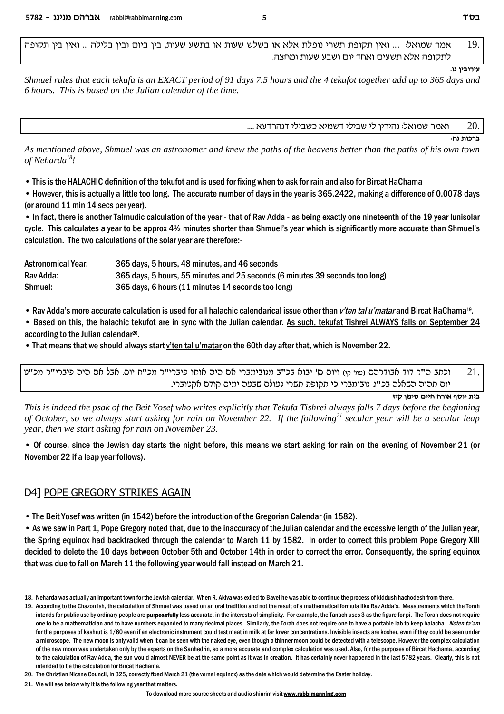ממר שמואל: .... ואין תקופת תשרי נופלת אלא או בשלש שעות או בתשע שעות, בין ביום ובין בלילה ... ואין בין תקופה .. לתקופה אלא תשעים ואחד יום ושבע שעות ומחצה.

**.ep oiaexir**

*Shmuel rules that each tekufa is an EXACT period of 91 days 7.5 hours and the 4 tekufot together add up to 365 days and 6 hours. This is based on the Julian calendar of the time.* 

.... ואמר שמואל: נהיריו לי שבילי דשמיא כשבילי דנהרדעא  $\,$ 

**ברכות נח:** 

*As mentioned above, Shmuel was an astronomer and knew the paths of the heavens better than the paths of his own town of Neharda<sup>18</sup>!*

• This is the HALACHIC definition of the tekufot and is used for fixing when to ask for rain and also for Bircat HaChama

• However, this is actually a little too long. The accurate number of days in the year is 365.2422, making a difference of 0.0078 days (or around 11 min 14 secs per year).

• In fact, there is another Talmudic calculation of the year - that of Rav Adda - as being exactly one nineteenth of the 19 year lunisolar cycle. This calculates a year to be approx 4½ minutes shorter than Shmuel's year which is significantly more accurate than Shmuel's calculation. The two calculations of the solar year are therefore:-

| <b>Astronomical Year:</b> | 365 days, 5 hours, 48 minutes, and 46 seconds                                |
|---------------------------|------------------------------------------------------------------------------|
| Rav Adda:                 | 365 days, 5 hours, 55 minutes and 25 seconds (6 minutes 39 seconds too long) |
| Shmuel:                   | 365 days, 6 hours (11 minutes 14 seconds too long)                           |

• Rav Adda's more accurate calculation is used for all halachic calendarical issue other than *v'ten tal u'matar* and Bircat HaChama<sup>19</sup>.

• Based on this, the halachic tekufot are in sync with the Julian calendar. As such, tekufat Tishrei ALWAYS falls on September 24 according to the Julian calendar<sup>20</sup>.

• That means that we should always start v'ten tal u'matar on the 60th day after that, which is November 22.

וכתב ה"ר דוד אבודרהם (עמי קי) ויום ס' יבוא בכ"ב מנובימברי אם היה אותו פיברי"ר מכ"ח יום. אבל אם היה פיברי"ר מכ"ט יום תהיה השאלה בכ"ג נובימברי כי תקופת תשרי לעולם שבעה ימים קודם אקטוברי.

**fiw oniq miig gxe` sqei zia**

*This is indeed the psak of the Beit Yosef who writes explicitly that Tekufa Tishrei always falls 7 days before the beginning of October, so we always start asking for rain on November 22. If the following<sup>21</sup> secular year will be a secular leap year, then we start asking for rain on November 23.*

• Of course, since the Jewish day starts the night before, this means we start asking for rain on the evening of November 21 (or November 22 if a leap year follows).

### D4] POPE GREGORY STRIKES AGAIN

• The Beit Yosef was written (in 1542) before the introduction of the Gregorian Calendar (in 1582).

• As we saw in Part 1, Pope Gregory noted that, due to the inaccuracy of the Julian calendar and the excessive length of the Julian year, the Spring equinox had backtracked through the calendar to March 11 by 1582. In order to correct this problem Pope Gregory XIII decided to delete the 10 days between October 5th and October 14th in order to correct the error. Consequently, the spring equinox that was due to fall on March 11 the following year would fall instead on March 21.

<sup>18.</sup> Neharda was actually an important town for the Jewish calendar. When R. Akiva was exiled to Bavel he was able to continue the process of kiddush hachodesh from there.

<sup>19.</sup> According to the Chazon Ish, the calculation of Shmuel was based on an oral tradition and not the result of a mathematical formula like Rav Adda's. Measurements which the Torah intends for public use by ordinary people are **purposefully** less accurate, in the interests of simplicity. For example, the Tanach uses 3 as the figure for pi. The Torah does not require one to be a mathematician and to have numbers expanded to many decimal places. Similarly, the Torah does not require one to have a portable lab to keep halacha. *Noten ta'am* for the purposes of kashrut is 1/60 even if an electronic instrument could test meat in milk at far lower concentrations. Invisible insects are kosher, even if they could be seen under a microscope. The new moon is only valid when it can be seen with the naked eye, even though a thinner moon could be detected with a telescope. However the complex calculation of the new moon was undertaken only by the experts on the Sanhedrin, so a more accurate and complex calculation was used. Also, for the purposes of Bircat Hachama, according to the calculation of Rav Adda, the sun would almost NEVER be at the same point as it was in creation. It has certainly never happened in the last 5782 years. Clearly, this is not intended to be the calculation for Bircat Hachama.

<sup>20.</sup> The Christian Nicene Council, in 325, correctly fixed March 21 (the vernal equinox) as the date which would determine the Easter holiday.

<sup>21.</sup> We will see below why it is the following year that matters.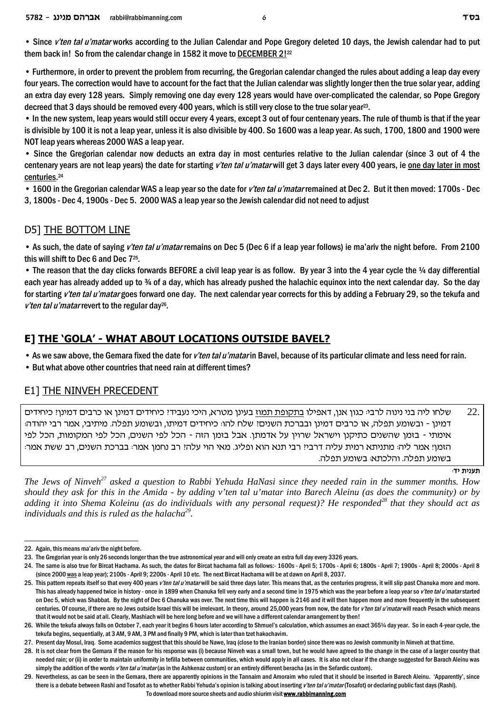• Since *v'ten tal u'matar* works according to the Julian Calendar and Pope Gregory deleted 10 days, the Jewish calendar had to put them back in! So from the calendar change in 1582 it move to DECEMBER 2!<sup>22</sup>

• Furthermore, in order to prevent the problem from recurring, the Gregorian calendar changed the rules about adding a leap day every four years. The correction would have to account for the fact that the Julian calendar was slightly longer then the true solar year, adding an extra day every 128 years. Simply removing one day every 128 years would have over-complicated the calendar, so Pope Gregory decreed that 3 days should be removed every 400 years, which is still very close to the true solar year<sup>23</sup>.

• In the new system, leap years would still occur every 4 years, except 3 out of four centenary years. The rule of thumb is that if the year is divisible by 100 it is not a leap year, unless it is also divisible by 400. So 1600 was a leap year. As such, 1700, 1800 and 1900 were NOT leap years whereas 2000 WAS a leap year.

• Since the Gregorian calendar now deducts an extra day in most centuries relative to the Julian calendar (since 3 out of 4 the centenary years are not leap years) the date for starting *v'ten tal u'matar* will get 3 days later every 400 years, ie one day later in most centuries. 24

• 1600 in the Gregorian calendar WAS a leap year so the date for *v'ten tal u'matar* remained at Dec 2. But it then moved: 1700s - Dec 3, 1800s - Dec 4, 1900s - Dec 5. 2000 WAS a leap year so the Jewish calendar did not need to adjust

#### D5] THE BOTTOM LINE

• As such, the date of saying *v'ten tal u'matar* remains on Dec 5 (Dec 6 if a leap year follows) ie ma'ariv the night before. From 2100 this will shift to Dec 6 and Dec 7<sup>25</sup>.

• The reason that the day clicks forwards BEFORE a civil leap year is as follow. By year 3 into the 4 year cycle the ¼ day differential each year has already added up to 34 of a day, which has already pushed the halachic equinox into the next calendar day. So the day for starting *v'ten tal u'matar* goes forward one day. The next calendar year corrects for this by adding a February 29, so the tekufa and v'ten tal u'matar revert to the regular day<sup>26</sup>.

### **E] THE 'GOLA' - WHAT ABOUT LOCATIONS OUTSIDE BAVEL?**

- As we saw above, the Gemara fixed the date for *v'ten tal u'matar* in Bavel, because of its particular climate and less need for rain.
- But what above other countries that need rain at different times?

#### E1] THE NINVEH PRECEDENT

שלחו ליה בני נינוה לרבי: כגון אנן, דאפילו בתקופת תמוז בעינן מטרא, היכי נעבידי כיחידים דמינן או כרבים דמינןי כיחידים  $22.$ דמינן - ובשומע תפלה, או כרבים דמינן ובברכת השנים! שלח להו: כיחידים דמיתו, ובשומע תפלה. מיתיבי, אמר רבי יהודה: אימתי - בזמן שהשנים כתיקנן וישראל שרוין על אדמתן. אבל בזמן הזה - הכל לפי השנים, הכל לפי המקומות. הכל לפי הזמן! אמר ליה: מתניתא רמית עליה דרבי? רבי תנא הוא ופליג. מאי הוי עלה? רב נחמן אמר: בברכת השנים, רב ששת אמר: בשומע תפלה. והלכתא: בשומע תפלה.

**:ci ziprz**

*The Jews of Ninveh<sup>27</sup> asked a question to Rabbi Yehuda HaNasi since they needed rain in the summer months. How should they ask for this in the Amida - by adding v'ten tal u'matar into Barech Aleinu (as does the community) or by adding it into Shema Koleinu (as do individuals with any personal request)? He responded<sup>28</sup> that they should act as individuals and this is ruled as the halacha<sup>29</sup> .*

<sup>22.</sup> Again, this means ma'ariv the night before.

<sup>23.</sup> The Gregorian year is only 26 seconds longer than the true astronomical year and will only create an extra full day every 3326 years.

<sup>24.</sup> The same is also true for Bircat Hachama. As such, the dates for Bircat hachama fall as follows:-1600s - April 5; 1700s - April 6; 1800s - April 7; 1900s - April 8; 2000s - April 8 (since 2000 was a leap year); 2100s - April 9; 2200s - April 10 etc. The next Bircat Hachama will be at dawn on April 8, 2037.

<sup>25.</sup> This pattern repeats itself so that every 400 years *v'ten tal u'matar* will be said three days later. This means that, as the centuries progress, it will slip past Chanuka more and more. This has already happened twice in history - once in 1899 when Chanuka fell very early and a second time in 1975 which was the year before a leap year so *v'ten tal u'matar* started on Dec 5, which was Shabbat. By the night of Dec 6 Chanuka was over. The next time this will happen is 2146 and it will then happen more and more frequently in the subsequent centuries. Of course, if there are no Jews outside Israel this will be irrelevant. In theory, around 25,000 years from now, the date for *v'ten tal u'matar* will reach Pesach which means that it would not be said at all. Clearly, Mashiach will be here long before and we will have a different calendar arrangement by then!

<sup>26.</sup> While the tekufa always falls on October 7, each year it begins 6 hours later according to Shmuel's calculation, which assumes an exact 365¼ day year. So in each 4-year cycle, the tekufa begins, sequentially, at 3 AM, 9 AM, 3 PM and finally 9 PM, which is later than tzet hakochavim.

<sup>27.</sup> Present day Mosul, Iraq. Some academics suggest that this should be Nawe, Iraq (close to the Iranian border) since there was no Jewish community in Ninveh at that time.

<sup>28.</sup> It is not clear from the Gemara if the reason for his response was (i) because Ninveh was a small town, but he would have agreed to the change in the case of a larger country that needed rain; or (ii) in order to maintain uniformity in tefilla between communities, which would apply in all cases. It is also not clear if the change suggested for Barach Aleinu was simply the addition of the words *v'ten tal u'matar* (as in the Ashkenaz custom) or an entirely different beracha (as in the Sefardic custom).

<sup>29.</sup> Nevertheless, as can be seen in the Gemara, there are apparently opinions in the Tannaim and Amoraim who ruled that it should be inserted in Barech Aleinu. 'Apparently', since there is a debate between Rashi and Tosafot as to whether Rabbi Yehuda's opinion is talking about inserting *v'ten tal u'matar* (Tosafot) or declaring public fast days (Rashi).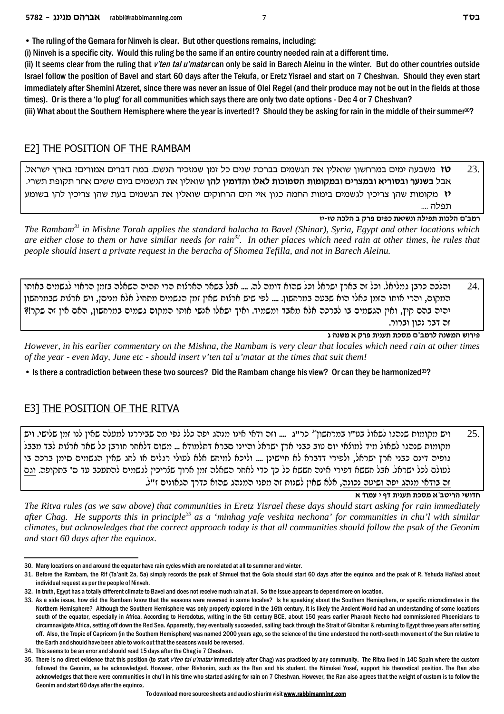• The ruling of the Gemara for Ninveh is clear. But other questions remains, including:

(i) Ninveh is a specific city. Would this ruling be the same if an entire country needed rain at a different time.

(ii) It seems clear from the ruling that *v'ten tal u'matar* can only be said in Barech Aleinu in the winter. But do other countries outside Israel follow the position of Bavel and start 60 days after the Tekufa, or Eretz Yisrael and start on 7 Cheshvan. Should they even start immediately after Shemini Atzeret, since there was never an issue of Olei Regel (and their produce may not be out in the fields at those times). Or is there a 'lo plug' for all communities which says there are only two date options - Dec 4 or 7 Cheshvan?

(iii) What about the Southern Hemisphere where the year is inverted!? Should they be asking for rain in the middle of their summer $30$ ?

#### E2] THE POSITION OF THE RAMBAM

.23 **. טז** משבעה ימים במרחשון שואלין את הגשמים בברכת שנים כל זמן שמזכיר הגשם. במה דברים אמורים! בארץ ישראל. .ixyz ztewz xg` miyy meia minybd z` oil`ey **odl oinecde el`l zekenqd zenewnae mixvnae `ixeqae xrpya** la` יז מקומות שהן צריכין לגשמים בימות החמה כגון איי הים הרחוקים שואלין את הגשמים בעת שהן צריכין להן בשומע .... m

**fi-fh dkld a wxt mitk z`iype dlitz zekld m"anx**

*The Rambam<sup>31</sup> in Mishne Torah applies the standard halacha to Bavel (Shinar), Syria, Egypt and other locations which are either close to them or have similar needs for rain<sup>32</sup>. In other places which need rain at other times, he rules that people should insert a private request in the beracha of Shomea Tefilla, and not in Barech Aleinu.* 

והלכה כרבן גמליאל. וכל זה בארץ ישראל וכל שהוא דומה לה. .... אבל בשאר הארלות הרי תהיה השאלה בזמן הראוי לגשמים באותו המקום, והרי אותו הזמן כאלו הוא שבעה במרחשון. .... לפי שיש ארלות שאין זמן הגשמים מתחיל אלא מניסן, ויש ארלות שבמרחשון יהיה בהם קיץ, ואין הגשמים בו לברכה אלא מאבד ומשמיד. ואיך ישאלו אנשי אותו המקום גשמים במרחשון, האם אין זה שקר!? זה דבר נכוו וברור.

**b dpyn ` wxt ziprz zkqn m"anxl dpynd yexit**

*However, in his earlier commentary on the Mishna, the Rambam is very clear that locales which need rain at other times of the year - even May, June etc - should insert v'ten tal u'matar at the times that suit them!* 

• Is there a contradiction between these two sources? Did the Rambam change his view? Or can they be harmonized33?

#### E3] THE POSITION OF THE RITVA

.25 ויש מקומות שנהגו לשאול בט"ו במרחשון<sup>34</sup> כר"ג .... וזה ודאי אינו מנהג יפה כלל לפי מה שביררנו למעלה שאין לנו זמן שלישי. ויש מקומות שנהגו לשאול מיד למולאי יום טוב כבני ארץ ישראל והיינו סברא דתלמודא ... משום דלאחר חורבן כל שאר ארלות לבד מבבל גופיה דינם כבני ארץ ישראל, ולפירי דדברא לא חיישינן .... וליכא למיחש אלא לעולי רגלים או לחג שאין הגשמים סימן ברכה בו לעולם לכל ישראל. אבל חששא דפירי אינה חששא כל כך כדי לאחר השאלה זמן ארוך שלריכין לגשמים להתעכב עד ס' בתקופה. וגם .וה בודאי מנהג יפה ושיטה נכונה, אלא שאין לשנות זה מפני המנהג שהוא כדרך הגאונים ז"ל.

**חדושי הריטב"א מסכת תענית דף י עמוד א** 

*The Ritva rules (as we saw above) that communities in Eretz Yisrael these days should start asking for rain immediately after Chag. He supports this in principle<sup>35</sup> as a 'minhag yafe veshita nechona' for communities in chu'l with similar climates, but acknowledges that the correct approach today is that all communities should follow the psak of the Geonim and start 60 days after the equinox.*

<sup>30.</sup> Many locations on and around the equator have rain cycles which are no related at all to summer and winter.

<sup>31.</sup> Before the Rambam, the Rif (Ta'anit 2a, 5a) simply records the psak of Shmuel that the Gola should start 60 days after the equinox and the psak of R. Yehuda HaNasi about individual request as per the people of Ninveh.

<sup>32.</sup> In truth, Egypt has a totally different climate to Bavel and does not receive much rain at all. So the issue appears to depend more on location.

<sup>33.</sup> As a side issue, how did the Rambam know that the seasons were reversed in some locales? Is he speaking about the Southern Hemisphere, or specific microclimates in the Northern Hemisphere? Although the Southern Hemisphere was only properly explored in the 16th century, it is likely the Ancient World had an understanding of some locations south of the equator, especially in Africa. According to Herodotus, writing in the 5th century BCE, about 150 years earlier Pharaoh Necho had commissioned Phoenicians to circumnavigate Africa, setting off down the Red Sea. Apparently, they eventually succeeded, sailing back through the Strait of Gibraltar & returning to Egypt three years after setting off. Also, the Tropic of Capricorn (in the Southern Hemisphere) was named 2000 years ago, so the science of the time understood the north-south movement of the Sun relative to the Earth and should have been able to work out that the seasons would be reversed.

<sup>34.</sup> This seems to be an error and should read 15 days after the Chag ie 7 Cheshvan.

<sup>35.</sup> There is no direct evidence that this position (to start *v'ten tal u'matar* immediately after Chag) was practiced by any community. The Ritva lived in 14C Spain where the custom followed the Geonim, as he acknowledged. However, other Rishonim, such as the Ran and his student, the Nimukei Yosef, support his theoretical position. The Ran also acknowledges that there were communities in chu'l in his time who started asking for rain on 7 Cheshvan. However, the Ran also agrees that the weight of custom is to follow the Geonim and start 60 days after the equinox.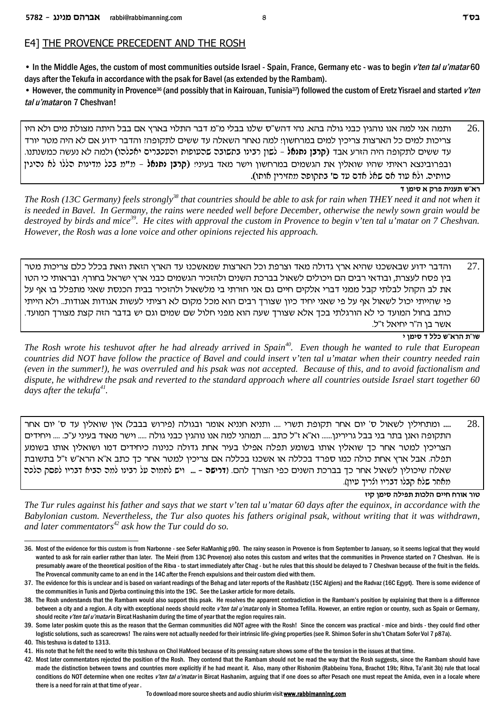#### E4] THE PROVENCE PRECEDENT AND THE ROSH

• In the Middle Ages, the custom of most communities outside Israel - Spain, France, Germany etc - was to begin *v'ten tal u'matar* 60 days after the Tekufa in accordance with the psak for Bavel (as extended by the Rambam).

• However, the community in Provence36 (and possibly that in Kairouan, Tunisia37) followed the custom of Eretz Yisrael and started *v'ten tal u'matar* on 7 Cheshvan!

ותמה אני למה אנו נוהגין כבני גולה בהא. נהי דהש"ס שלנו בבלי מ"מ דבר התלוי בארץ אם בבל היתה מצולת מים ולא היו  $26.$ צריכות למים כל הארצות צריכין למים במרחשון! למה נאחר השאלה עד ששים לתקופה! והדבר ידוע אם לא היה מטר יורד .epzpynk dyrp `l dnle (edlk`i mixakrde zeterdy daeyza epiax oeyl - **l`pzp oaxw**) ca` rxfd did dtewzl miyy cr ובפרובינצא ראיתי שהיו שואלין את הגשמים במרחשון וישר מאד בעיני! (**קרבן נתנאֿל** - מ"מ בכל מדינות כללו לא נכיגין .כוותיה. ולא עוד אם שאל אדם עד ס' בתקופה מחזירין אותו)

**רא"ש תענית פרק א סימן ד** 

*The Rosh (13C Germany) feels strongly<sup>38</sup> that countries should be able to ask for rain when THEY need it and not when it is needed in Bavel. In Germany, the rains were needed well before December, otherwise the newly sown grain would be destroyed by birds and mice<sup>39</sup>. He cites with approval the custom in Provence to begin v'ten tal u'matar on 7 Cheshvan. However, the Rosh was a lone voice and other opinions rejected his approach.*

והדבר ידוע שבאשכנז שהיא ארץ גדולה מאד וצרפת וכל הארצות שמאשכנז עד הארץ הזאת וזאת בכלל כלם צריכות מטר  $27.$ ביו פסח לעצרת. ובודאי רבים הם ויכולים לשאול בברכת השנים ולהזכיר הגשמים כבני ארץ ישראל בחורף. ובראותי כי הטו את לב הקהל לבלתי קבל ממני דברי אלקים חיים גם אני חזרתי בי מלשאול ולהזכיר בבית הכנסת שאני מתפלל בו אף על פי שהייתי יכול לשאול אף על פי שאני יחיד כיון שצורך רבים הוא מכל מקום לא רציתי לעשות אגודות אגודות.. ולא הייתי . כותב בחול המועד כי לא הורגלתי בכך אלא שצורך שעה הוא מפני חלול שם שמים וגם יש בדבר הזה קצת מצורך המועד .אשר בן ה"ר יחיאל ז"ל

**i oniq c llk y"`xd z"ey**

*The Rosh wrote his teshuvot after he had already arrived in Spain<sup>40</sup>. Even though he wanted to rule that European countries did NOT have follow the practice of Bavel and could insert v'ten tal u'matar when their country needed rain (even in the summer!), he was overruled and his psak was not accepted. Because of this, and to avoid factionalism and dispute, he withdrew the psak and reverted to the standard approach where all countries outside Israel start together 60 days after the tekufa<sup>41</sup> .*

ש... ומתחילין לשאול ס' יום אחר תקופת תשרי .... ותניא חנניא אומר ובגולה (פירוש בבבל) אין שואלין עד ס' יום אחר .. התקופה ואנן בתר בני בבל גרירינן...... וא"א ז"ל כתב .... תמהני למה אנו נוהגין כבני גולה ..... וישר מאוד בעיני ע"כ. .... ויחידים הצריכין למטר אחר כך שואלין אותו בשומע תפלה אפילו בעיר אחת גדולה כנינוה כיחידים דמו ושואלין אותו בשומע תפלה. אבל ארץ אחת כולה כמו ספרד בכללה או אשכנו בכללה אם צריכין למטר אחר כך כתב א"א הרא"ש ז"ל בתשובת שאלה שיכולין לשאול אחר כך בברכת השנים כפי הצורך להם. **(דרישה** - … ויש לתמוה על רבינו למה הביא דבריו לפסק הלכה מאחר שלא קבלו דבריו ולריך עיון).

**fiw oniq dlitz zekld miig gxe` xeh**

*The Tur rules against his father and says that we start v'ten tal u'matar 60 days after the equinox, in accordance with the Babylonian custom. Nevertheless, the Tur also quotes his fathers original psak, without writing that it was withdrawn, and later commentators<sup>42</sup> ask how the Tur could do so.*

42. Most later commentators rejected the position of the Rosh. They contend that the Rambam should not be read the way that the Rosh suggests, since the Rambam should have made the distinction between towns and countries more explicitly if he had meant it. Also, many other Rishonim (Rabbeinu Yona, Brachot 19b; Ritva, Ta'anit 3b) rule that local conditions do NOT determine when one recites *v'ten tal u'matar* in Bircat Hashanim, arguing that if one does so after Pesach one must repeat the Amida, even in a locale where there is a need for rain at that time of year .

<sup>36.</sup> Most of the evidence for this custom is from Narbonne - see Sefer HaManhig p90. The rainy season in Provence is from September to January, so it seems logical that they would wanted to ask for rain earlier rather than later. The Meiri (from 13C Provence) also notes this custom and writes that the communities in Provence started on 7 Cheshvan. He is presumably aware of the theoretical position of the Ritva - to start immediately after Chag - but he rules that this should be delayed to 7 Cheshvan because of the fruit in the fields. The Provencal community came to an end in the 14C after the French expulsions and their custom died with them.

<sup>37.</sup> The evidence for this is unclear and is based on variant readings of the Behag and later reports of the Rashbatz (15C Algiers) and the Radvaz (16C Egypt). There is some evidence of the communities in Tunis and Djerba continuing this into the 19C. See the Lasker article for more details.

<sup>38.</sup> The Rosh understands that the Rambam would also support this psak. He resolves the apparent contradiction in the Rambam's position by explaining that there is a difference between a city and a region. A city with exceptional needs should recite *v'ten tal u'matar* only in Shomea Tefilla. However, an entire region or country, such as Spain or Germany, should recite *v'ten tal u'matar* in Bircat Hashanim during the time of year that the region requires rain.

<sup>39.</sup> Some later poskim quote this as the reason that the German communities did NOT agree with the Rosh! Since the concern was practical - mice and birds - they could find other logistic solutions, such as scarecrows! The rains were not actually needed for their intrinsic life-giving properties (see R. Shimon Sofer in shu't Chatam Sofer Vol 7 p87a). 40. This teshuva is dated to 1313.

<sup>41.</sup> His note that he felt the need to write this teshuva on Chol HaMoed because of its pressing nature shows some of the the tension in the issues at that time.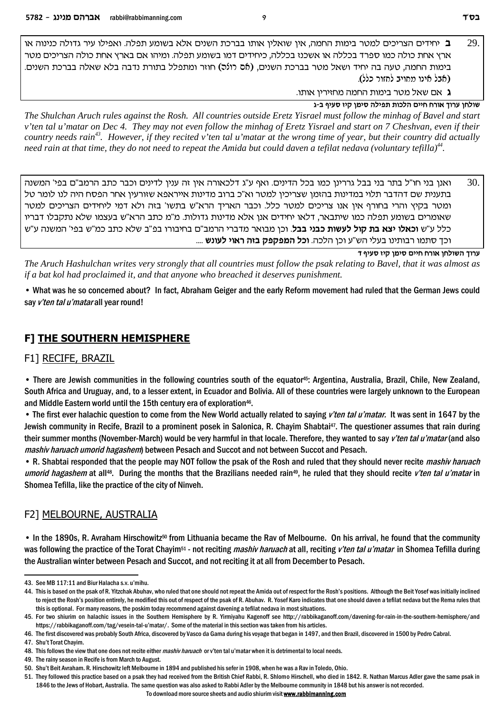e` depipk dlecb xir elit`e .dltz rneya `l` mipyd zkxaa eze` oil`ey oi` ,dngd zenia xhnl mikixvd micigi **a** 29. ארץ אחת כולה כמו ספרד בכללה או אשכנז בכללה, כיחידים דמו בשומע תפלה. ומיהו אם בארץ אחת כולה הצריכים מטר בימות החמה, טעה בה יחיד ושאל מטר בברכת השנים, (b6 רונכ) חוזר ומתפלל בתורת נדבה בלא שאלה בברכת השנים. (אבל אינו מחויב לחזור כלל).

**ג** אם שאל מטר בימות החמה מחזירין אותו.

**b-a sirq fiw oniq dlitz zekld miig gxe` jexr ogley**

*The Shulchan Aruch rules against the Rosh. All countries outside Eretz Yisrael must follow the minhag of Bavel and start v'ten tal u'matar on Dec 4. They may not even follow the minhag of Eretz Yisrael and start on 7 Cheshvan, even if their country needs rain<sup>43</sup>. However, if they recited v'ten tal u'matar at the wrong time of year, but their country did actually need rain at that time, they do not need to repeat the Amida but could daven a tefilat nedava (voluntary tefilla)<sup>44</sup> .*

מען בני חו"ל בתר בני בבל גררינו כמו בכל הדינים. ואף ע"ג דלכאורה אין זה ענין לדינים וכבר כתב הרמב"ם בפי' המשנה  $30.$ בתענית שם דהדבר תלוי במדינות בהזמן שצריכין למטר וא"כ ברוב מדינות אייראפא שזורעין אחר הפסח היה לנו לומר טל ומטר בקיץ והרי בחורף אין אנו צריכים למטר כלל. וכבר האריך הרא"ש בתשו' בזה ולא דמי ליחידים הצריכים למטר שאומרים בשומע תפלה כמו שיתבאר, דלאו יחידים אנן אלא מדינות גדולות. מ"מ כתב הרא"ש בעצמו שלא נתקבלו דבריו כלל ע"ש **וכאלו יצא בת קול לעשות כבני בבל**. וכן מבואר מדברי הרמב"ם בחיבורו בפ"ב שלא כתב כמ"ש בפי' המשנה ע"ש וכך סתמו רבותינו בעלי הש"ע וכן הלכה. **וכל המפקפק בזה ראוי לעונש** ....

**c sirq fiw oniq miig gxe` ogleyd jexr**

*The Aruch Hashulchan writes very strongly that all countries must follow the psak relating to Bavel, that it was almost as if a bat kol had proclaimed it, and that anyone who breached it deserves punishment.* 

• What was he so concerned about? In fact, Abraham Geiger and the early Reform movement had ruled that the German Jews could say *v'ten tal u'matar* all year round!

### **F] THE SOUTHERN HEMISPHERE**

#### F1] RECIFE, BRAZIL

• There are Jewish communities in the following countries south of the equator45: Argentina, Australia, Brazil, Chile, New Zealand, South Africa and Uruguay, and, to a lesser extent, in Ecuador and Bolivia. All of these countries were largely unknown to the European and Middle Eastern world until the 15th century era of exploration<sup>46</sup>.

• The first ever halachic question to come from the New World actually related to saying *v'ten tal u'matar.* It was sent in 1647 by the Jewish community in Recife, Brazil to a prominent posek in Salonica, R. Chayim Shabtai<sup>47</sup>. The questioner assumes that rain during their summer months (November-March) would be very harmful in that locale. Therefore, they wanted to say *v'ten tal u'matar* (and also *mashiv haruach umorid hagashem*) between Pesach and Succot and not between Succot and Pesach.

• R. Shabtai responded that the people may NOT follow the psak of the Rosh and ruled that they should never recite *mashiv haruach umorid hagashem* at all48. During the months that the Brazilians needed rain49, he ruled that they should recite *v'ten tal u'matar* in Shomea Tefilla, like the practice of the city of Ninveh.

#### F2] MELBOURNE, AUSTRALIA

• In the 1890s, R. Avraham Hirschowitz<sup>50</sup> from Lithuania became the Rav of Melbourne. On his arrival, he found that the community was following the practice of the Torat Chayim51 - not reciting *mashiv haruach* at all, reciting *v'ten tal u'matar* in Shomea Tefilla during the Australian winter between Pesach and Succot, and not reciting it at all from December to Pesach.

<sup>43.</sup> See MB 117:11 and Biur Halacha s.v. u'mihu.

<sup>44.</sup> This is based on the psak of R. Yitzchak Abuhav, who ruled that one should not repeat the Amida out of respect for the Rosh's positions. Although the Beit Yosef was initially inclined to reject the Rosh's position entirely, he modified this out of respect of the psak of R. Abuhav. R. Yosef Karo indicates that one should daven a tefilat nedava but the Rema rules that this is optional. For many reasons, the poskim today recommend against davening a tefilat nedava in most situations.

<sup>45.</sup> For two shiurim on halachic issues in the Southern Hemisphere by R. Yirmiyahu Kagenoff see http://rabbikaganoff.com/davening-for-rain-in-the-southern-hemisphere/and https://rabbikaganoff.com/tag/vesein-tal-u'matar/. Some of the material in this section was taken from his articles.

<sup>46.</sup> The first discovered was probably South Africa, discovered by Vasco da Gama during his voyage that began in 1497, and then Brazil, discovered in 1500 by Pedro Cabral.

<sup>47.</sup> Shu't Torat Chayim.

<sup>48.</sup> This follows the view that one does not recite either *mashiv haruach* or v'ten tal u'matar when it is detrimental to local needs.

<sup>49.</sup> The rainy season in Recife is from March to August.

<sup>50.</sup> Shu't Beit Avraham. R. Hirschowitz left Melbourne in 1894 and published his sefer in 1908, when he was a Rav in Toledo, Ohio.

<sup>51.</sup> They followed this practice based on a psak they had received from the British Chief Rabbi, R. Shlomo Hirschell, who died in 1842. R. Nathan Marcus Adler gave the same psak in 1846 to the Jews of Hobart, Australia. The same question was also asked to Rabbi Adler by the Melbourne community in 1848 but his answer is not recorded.